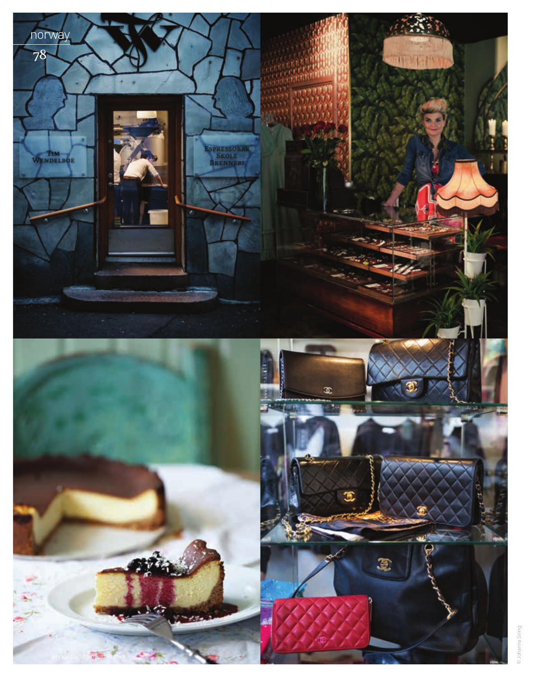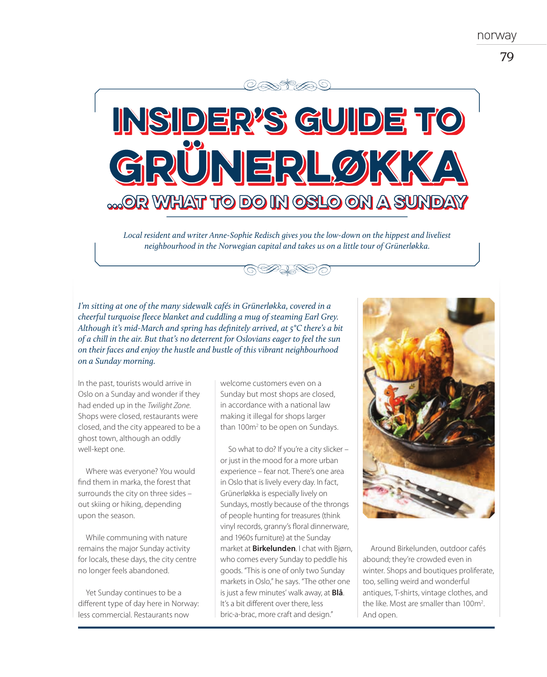#### norway

# INSIDER'S GUIDE TO GRÜNERLØKKA **MARKER TO DO IN OSLO ON A SUNDAY**

CASHAS

Local resident and writer Anne-Sophie Redisch gives you the low-down on the hippest and liveliest neighbourhood in the Norwegian capital and takes us on a little tour of Grünerløkka.



I'm sitting at one of the many sidewalk cafés in Grünerløkka, covered in a cheerful turquoise fleece blanket and cuddling a mug of steaming Earl Grey. Although it's mid-March and spring has definitely arrived, at  $5^{\circ}$ C there's a bit of a chill in the air. But that's no deterrent for Oslovians eager to feel the sun on their faces and enjoy the hustle and bustle of this vibrant neighbourhood on a Sunday morning.

In the past, tourists would arrive in Oslo on a Sunday and wonder if they had ended up in the Twilight Zone. Shops were closed, restaurants were closed, and the city appeared to be a ghost town, although an oddly well-kept one.

Where was everyone? You would find them in marka, the forest that surrounds the city on three sides – out skiing or hiking, depending upon the season.

While communing with nature remains the major Sunday activity for locals, these days, the city centre no longer feels abandoned.

Yet Sunday continues to be a different type of day here in Norway: less commercial. Restaurants now

welcome customers even on a Sunday but most shops are closed, in accordance with a national law making it illegal for shops larger than 100m<sup>2</sup> to be open on Sundays.

So what to do? If you're a city slicker – or just in the mood for a more urban experience – fear not. There's one area in Oslo that is lively every day. In fact, Grünerløkka is especially lively on Sundays, mostly because of the throngs of people hunting for treasures (think vinyl records, granny's floral dinnerware, and 1960s furniture) at the Sunday market at **Birkelunden**. I chat with Bjørn, who comes every Sunday to peddle his goods. "This is one of only two Sunday markets in Oslo," he says. "The other one is just a few minutes' walk away, at **Blå**. It's a bit different over there, less bric-a-brac, more craft and design."



Around Birkelunden, outdoor cafés abound; they're crowded even in winter. Shops and boutiques proliferate, too, selling weird and wonderful antiques, T-shirts, vintage clothes, and the like. Most are smaller than 100m<sup>2</sup>. And open.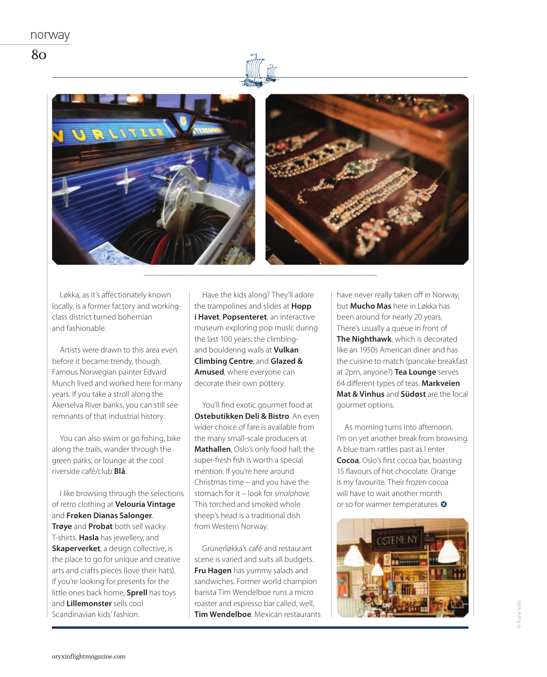

Løkka, as it's affectionately known locally, is a former factory and workingclass district turned bohemian and fashionable.

Artists were drawn to this area even before it became trendy, though. Famous Norwegian painter Edvard Munch lived and worked here for many years. If you take a stroll along the Akerselva River banks, you can still see remnants of that industrial history.

You can also swim or go fishing, bike along the trails, wander through the green parks, or lounge at the cool riverside café/club **Blå**.

I like browsing through the selections of retro clothing at **Velouria Vintage** and **Frøken Dianas Salonger**. **Trøye** and **Probat** both sell wacky T-shirts. **Hasla** has jewellery, and **Skaperverket**, a design collective, is the place to go for unique and creative arts and crafts pieces (love their hats). If you're looking for presents for the little ones back home, **Sprell** has toys and **Lillemonster** sells cool Scandinavian kids' fashion.

Have the kids along? They'll adore the trampolines and slides at **Hopp i Havet**, **Popsenteret**, an interactive museum exploring pop music during the last 100 years; the climbingand bouldering walls at **Vulkan Climbing Centre**; and **Glazed & Amused**, where everyone can decorate their own pottery.

You'll find exotic gourmet food at **Ostebutikken Deli & Bistro**. An even wider choice of fare is available from the many small-scale producers at **Mathallen**, Oslo's only food hall; the super-fresh fish is worth a special mention. If you're here around Christmas time – and you have the stomach for it – look for smalahove. This torched and smoked whole sheep's head is a traditional dish from Western Norway.

Grünerløkka's café and restaurant scene is varied and suits all budgets. **Fru Hagen** has yummy salads and sandwiches. Former world champion barista Tim Wendelboe runs a micro roaster and espresso bar called, well, **Tim Wendelboe**. Mexican restaurants

have never really taken off in Norway, but **Mucho Mas** here in Løkka has been around for nearly 20 years. There's usually a queue in front of **The Nighthawk**, which is decorated like an 1950s American diner and has the cuisine to match (pancake breakfast at 2pm, anyone?) **Tea Lounge** serves 64 different types of teas. **Markveien Mat & Vinhus** and **Südøst** are the local gourmet options.

As morning turns into afternoon, I'm on yet another break from browsing. A blue tram rattles past as I enter **Cocoa**, Oslo's first cocoa bar, boasting 15 flavours of hot chocolate. Orange is my favourite. Their frozen cocoa will have to wait another month or so for warmer temperatures.  $\bullet$ 

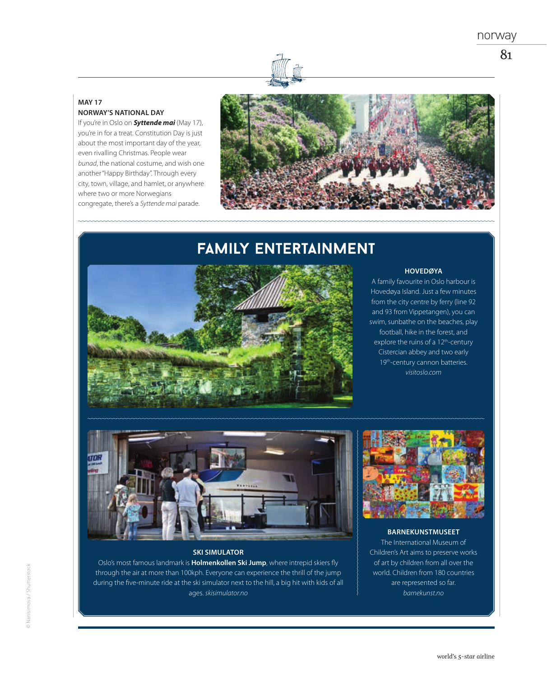81

### **MAY 17 NORWAY'S NATIONAL DAY**

If you're in Oslo on **Syttende mai** (May 17), you're in for a treat. Constitution Day is just about the most important day of the year, even rivalling Christmas. People wear bunad, the national costume, and wish one another "Happy Birthday". Through every city, town, village, and hamlet, or anywhere where two or more Norwegians congregate, there's a Syttende mai parade.



### **FAMILY ENTERTAINMENT**



#### **HOVEDØYA**

A family favourite in Oslo harbour is Hovedøya Island. Just a few minutes from the city centre by ferry (line 92 and 93 from Vippetangen), you can swim, sunbathe on the beaches, play football, hike in the forest, and explore the ruins of a 12<sup>th</sup>-century Cistercian abbey and two early 19<sup>th</sup>-century cannon batteries. visitoslo.com



**SKI SIMULATOR** Oslo's most famous landmark is **Holmenkollen Ski Jump**, where intrepid skiers fly through the air at more than 100kph. Everyone can experience the thrill of the jump during the five-minute ride at the ski simulator next to the hill, a big hit with kids of all ages. skisimulator.no



#### **BARNEKUNSTMUSEET** The International Museum of Children's Art aims to preserve works of art by children from all over the world. Children from 180 countries are represented so far. barnekunst.no

## © Nanisimova / Shutterstock nova / Shutterstock

world's 5-star airline